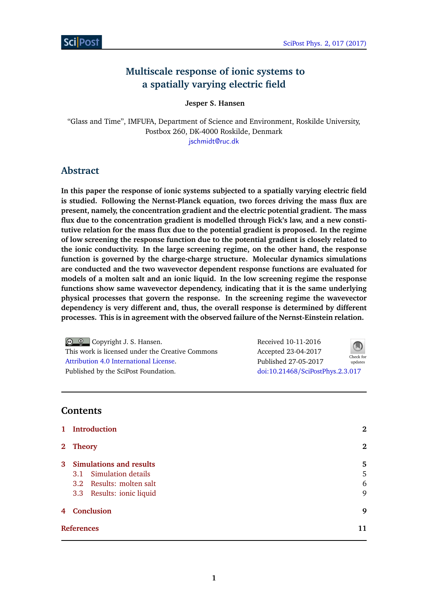# **Multiscale response of ionic systems to a spatially varying electric field**

**Jesper S. Hansen**

"Glass and Time", IMFUFA, Department of Science and Environment, Roskilde University, Postbox 260, DK-4000 Roskilde, Denmark [jschmidt@ruc.dk](mailto:jschmidt@ruc.dk)

## **Abstract**

**In this paper the response of ionic systems subjected to a spatially varying electric field is studied. Following the Nernst-Planck equation, two forces driving the mass flux are present, namely, the concentration gradient and the electric potential gradient. The mass flux due to the concentration gradient is modelled through Fick's law, and a new constitutive relation for the mass flux due to the potential gradient is proposed. In the regime of low screening the response function due to the potential gradient is closely related to the ionic conductivity. In the large screening regime, on the other hand, the response function is governed by the charge-charge structure. Molecular dynamics simulations are conducted and the two wavevector dependent response functions are evaluated for models of a molten salt and an ionic liquid. In the low screening regime the response functions show same wavevector dependency, indicating that it is the same underlying physical processes that govern the response. In the screening regime the wavevector dependency is very different and, thus, the overall response is determined by different processes. This is in agreement with the observed failure of the Nernst-Einstein relation.**

| © © Copyright J. S. Hansen.                      | Received 10-11-2016              | $\bigcirc$           |
|--------------------------------------------------|----------------------------------|----------------------|
| This work is licensed under the Creative Commons | Accepted 23-04-2017              |                      |
| Attribution 4.0 International License.           | Published 27-05-2017             | Check for<br>updates |
| Published by the SciPost Foundation.             | doi:10.21468/SciPostPhys.2.3.017 |                      |

### **Contents**

| $\mathbf{1}$      | Introduction                   | $\bf{2}$ |
|-------------------|--------------------------------|----------|
| $2^{\circ}$       | <b>Theory</b>                  | $\bf{2}$ |
| $\mathbf{3}$      | <b>Simulations and results</b> | 5        |
|                   | 3.1 Simulation details         | 5        |
|                   | 3.2 Results: molten salt       | 6        |
|                   | 3.3 Results: ionic liquid      | 9        |
| $\overline{4}$    | <b>Conclusion</b>              | 9        |
| <b>References</b> |                                | 11       |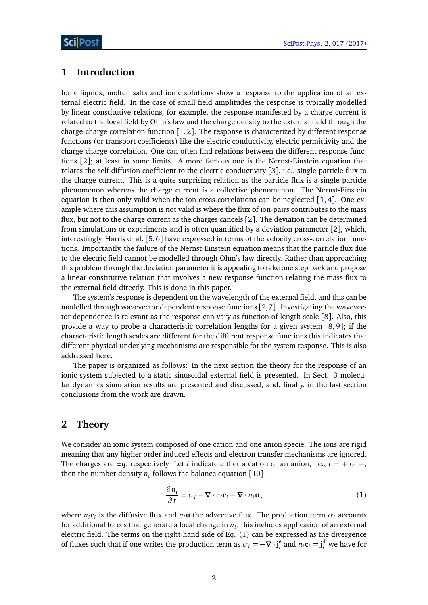### <span id="page-1-0"></span>**1 Introduction**

Ionic liquids, molten salts and ionic solutions show a response to the application of an external electric field. In the case of small field amplitudes the response is typically modelled by linear constitutive relations, for example, the response manifested by a charge current is related to the local field by Ohm's law and the charge density to the external field through the charge-charge correlation function  $[1,2]$  $[1,2]$  $[1,2]$  $[1,2]$ . The response is characterized by different response functions (or transport coefficients) like the electric conductivity, electric permittivity and the charge-charge correlation. One can often find relations between the different response functions [[2](#page-10-1)]; at least in some limits. A more famous one is the Nernst-Einstein equation that relates the self diffusion coefficient to the electric conductivity [[3](#page-10-2)], i.e., single particle flux to the charge current. This is a quite surprising relation as the particle flux is a single particle phenomenon whereas the charge current is a collective phenomenon. The Nernst-Einstein equation is then only valid when the ion cross-correlations can be neglected [[1,](#page-10-0) [4](#page-10-3)]. One example where this assumption is not valid is where the flux of ion-pairs contributes to the mass flux, but not to the charge current as the charges cancels [[2](#page-10-1)]. The deviation can be determined from simulations or experiments and is often quantified by a deviation parameter [[2](#page-10-1)], which, interestingly, Harris et al. [[5,](#page-10-4)[6](#page-10-5)] have expressed in terms of the velocity cross-correlation functions. Importantly, the failure of the Nernst-Einstein equation means that the particle flux due to the electric field cannot be modelled through Ohm's law directly. Rather than approaching this problem through the deviation parameter it is appealing to take one step back and propose a linear constitutive relation that involves a new response function relating the mass flux to the external field directly. This is done in this paper.

The system's response is dependent on the wavelength of the external field, and this can be modelled through wavevector dependent response functions [[2,](#page-10-1)[7](#page-10-6)]. Investigating the wavevector dependence is relevant as the response can vary as function of length scale [[8](#page-10-7)]. Also, this provide a way to probe a characteristic correlation lengths for a given system [[8,](#page-10-7) [9](#page-10-8)]; if the characteristic length scales are different for the different response functions this indicates that different physical underlying mechanisms are responsible for the system response. This is also addressed here.

The paper is organized as follows: In the next section the theory for the response of an ionic system subjected to a static sinusoidal external field is presented. In Sect. [3](#page-4-0) molecular dynamics simulation results are presented and discussed, and, finally, in the last section conclusions from the work are drawn.

#### <span id="page-1-1"></span>**2 Theory**

We consider an ionic system composed of one cation and one anion specie. The ions are rigid meaning that any higher order induced effects and electron transfer mechanisms are ignored. The charges are  $\pm q$ , respectively. Let *i* indicate either a cation or an anion, i.e.,  $i = +$  or  $-,$ then the number density  $n_i$  follows the balance equation  $[10]$  $[10]$  $[10]$ 

<span id="page-1-2"></span>
$$
\frac{\partial n_i}{\partial t} = \sigma_i - \nabla \cdot n_i \mathbf{c}_i - \nabla \cdot n_i \mathbf{u},
$$
\n(1)

where  $n_i$ **c**<sub>*i*</sub> is the diffusive flux and  $n_i$ **u** the advective flux. The production term  $\sigma_i$  accounts for additional forces that generate a local change in  $n_i;$  this includes application of an external electric field. The terms on the right-hand side of Eq. [\(1\)](#page-1-2) can be expressed as the divergence of fluxes such that if one writes the production term as  $\sigma_i = -\nabla \cdot \mathbf{j}_i^e$  and  $n_i \mathbf{c}_i = \mathbf{j}_i^d$  we have for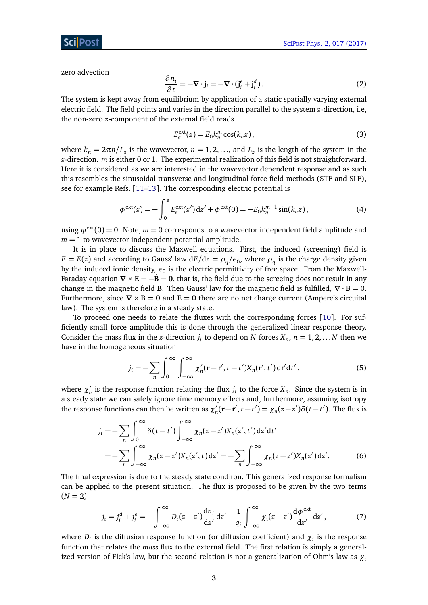#### ScilPos

zero advection

$$
\frac{\partial n_i}{\partial t} = -\nabla \cdot \mathbf{j}_i = -\nabla \cdot (\mathbf{j}_i^e + \mathbf{j}_i^d). \tag{2}
$$

The system is kept away from equilibrium by application of a static spatially varying external electric field. The field points and varies in the direction parallel to the system *z*-direction, i.e, the non-zero *z*-component of the external field reads

<span id="page-2-1"></span>
$$
E_z^{\text{ext}}(z) = E_0 k_n^m \cos(k_n z), \qquad (3)
$$

where  $k_n = 2\pi n/L_z$  is the wavevector,  $n = 1, 2, \ldots$ , and  $L_z$  is the length of the system in the *z*-direction. *m* is either 0 or 1. The experimental realization of this field is not straightforward. Here it is considered as we are interested in the wavevector dependent response and as such this resembles the sinusoidal transverse and longitudinal force field methods (STF and SLF), see for example Refs. [[11–](#page-10-10)[13](#page-11-0)]. The corresponding electric potential is

$$
\phi^{\text{ext}}(z) = -\int_0^z E_z^{\text{ext}}(z') \, dz' + \phi^{\text{ext}}(0) = -E_0 k_n^{m-1} \sin(k_n z), \tag{4}
$$

using  $\phi^{\text{ext}}(0) = 0$ . Note,  $m = 0$  corresponds to a wavevector independent field amplitude and  $m = 1$  to wavevector independent potential amplitude.

It is in place to discuss the Maxwell equations. First, the induced (screening) field is  $E = E(z)$  and according to Gauss' law  $dE/dz = \rho_q/\epsilon_0$ , where  $\rho_q$  is the charge density given by the induced ionic density,  $\epsilon_0$  is the electric permittivity of free space. From the Maxwell-Faraday equation  $\nabla \times \mathbf{E} = -\dot{\mathbf{B}} = \mathbf{0}$ , that is, the field due to the screeing does not result in any change in the magnetic field **B**. Then Gauss' law for the magnetic field is fulfilled,  $\nabla \cdot \mathbf{B} = 0$ . Furthermore, since  $\nabla \times \mathbf{B} = \mathbf{0}$  and  $\dot{\mathbf{E}} = \mathbf{0}$  there are no net charge current (Ampere's circuital law). The system is therefore in a steady state.

To proceed one needs to relate the fluxes with the corresponding forces [[10](#page-10-9)]. For sufficiently small force amplitude this is done through the generalized linear response theory. Consider the mass flux in the *z*-direction  $j_i$  to depend on *N* forces  $X_n$ ,  $n = 1, 2, \ldots N$  then we have in the homogeneous situation

$$
j_i = -\sum_{n} \int_0^{\infty} \int_{-\infty}^{\infty} \chi'_n(\mathbf{r} - \mathbf{r}', t - t') X_n(\mathbf{r}', t') d\mathbf{r}' dt', \qquad (5)
$$

where  $\chi'_n$  $\frac{1}{n}$  is the response function relating the flux  $j_i$  to the force  $X_n$ . Since the system is in a steady state we can safely ignore time memory effects and, furthermore, assuming isotropy the response functions can then be written as  $\chi'$  $\chi'_n(\mathbf{r}-\mathbf{r}', t-t') = \chi_n(z-z')\delta(t-t')$ . The flux is

$$
j_i = -\sum_{n} \int_0^{\infty} \delta(t - t') \int_{-\infty}^{\infty} \chi_n(z - z') X_n(z', t') dz' dt'
$$
  
= 
$$
-\sum_{n} \int_{-\infty}^{\infty} \chi_n(z - z') X_n(z', t) dz' = -\sum_{n} \int_{-\infty}^{\infty} \chi_n(z - z') X_n(z') dz'.
$$
 (6)

The final expression is due to the steady state conditon. This generalized response formalism can be applied to the present situation. The flux is proposed to be given by the two terms  $(N = 2)$ 

<span id="page-2-0"></span>
$$
j_i = j_i^d + j_i^e = -\int_{-\infty}^{\infty} D_i(z - z') \frac{dn_i}{dz'} dz' - \frac{1}{q_i} \int_{-\infty}^{\infty} \chi_i(z - z') \frac{d\phi^{ext}}{dz'} dz',
$$
 (7)

where  $D_i$  is the diffusion response function (or diffusion coefficient) and  $\chi_i$  is the response function that relates the *mass* flux to the external field. The first relation is simply a generalized version of Fick's law, but the second relation is not a generalization of Ohm's law as *χ<sup>i</sup>*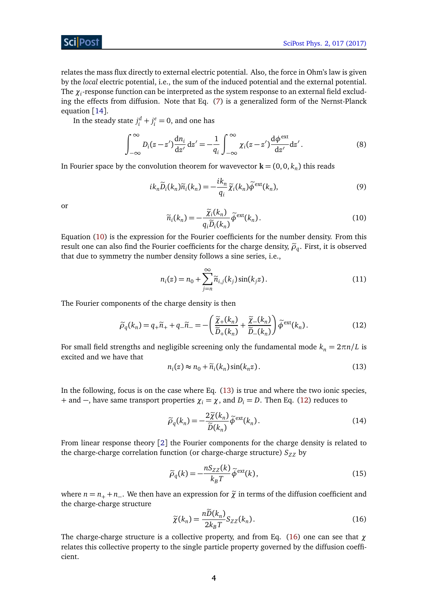

relates the mass flux directly to external electric potential. Also, the force in Ohm's law is given by the *local* electric potential, i.e., the sum of the induced potential and the external potential. The  $\chi_i$ -response function can be interpreted as the system response to an external field excluding the effects from diffusion. Note that Eq. [\(7\)](#page-2-0) is a generalized form of the Nernst-Planck equation [[14](#page-11-1)].

In the steady state  $j_i^d + j_i^e = 0$ , and one has

$$
\int_{-\infty}^{\infty} D_i(z - z') \frac{dn_i}{dz'} dz' = -\frac{1}{q_i} \int_{-\infty}^{\infty} \chi_i(z - z') \frac{d\phi^{ext}}{dz'} dz'.
$$
 (8)

In Fourier space by the convolution theorem for wavevector  $\mathbf{k} = (0,0,k_n)$  this reads

$$
ik_n\widetilde{D}_i(k_n)\widetilde{n}_i(k_n) = -\frac{ik_n}{q_i}\widetilde{\chi}_i(k_n)\widetilde{\phi}^{\text{ext}}(k_n),\tag{9}
$$

<span id="page-3-0"></span>or

$$
\widetilde{n}_i(k_n) = -\frac{\widetilde{\chi}_i(k_n)}{q_i \widetilde{D}_i(k_n)} \widetilde{\phi}^{\text{ext}}(k_n).
$$
\n(10)

Equation [\(10\)](#page-3-0) is the expression for the Fourier coefficients for the number density. From this result one can also find the Fourier coefficients for the charge density,  $\tilde{\rho}_q$ . First, it is observed<br>that due to gymnatry the number density follows a sine series i.e. that due to symmetry the number density follows a sine series, i.e.,

<span id="page-3-2"></span>
$$
n_i(z) = n_0 + \sum_{j=n}^{\infty} \widetilde{n}_{i,j}(k_j) \sin(k_j z).
$$
 (11)

The Fourier components of the charge density is then

$$
\widetilde{\rho}_q(k_n) = q_+\widetilde{n}_+ + q_-\widetilde{n}_- = -\left(\frac{\widetilde{\chi}_+(k_n)}{\widetilde{D}_+(k_n)} + \frac{\widetilde{\chi}_-(k_n)}{\widetilde{D}_-(k_n)}\right)\widetilde{\phi}^{\text{ext}}(k_n). \tag{12}
$$

For small field strengths and negligible screening only the fundamental mode  $k_n = 2\pi n/L$  is excited and we have that

<span id="page-3-1"></span>
$$
n_i(z) \approx n_0 + \widetilde{n}_i(k_n) \sin(k_n z). \tag{13}
$$

In the following, focus is on the case where Eq. [\(13\)](#page-3-1) is true and where the two ionic species, + and –, have same transport properties  $\chi_i = \chi$ , and  $D_i = D$ . Then Eq. [\(12\)](#page-3-2) reduces to

<span id="page-3-4"></span>
$$
\widetilde{\rho}_q(k_n) = -\frac{2\widetilde{\chi}(k_n)}{\widetilde{D}(k_n)} \widetilde{\phi}^{\text{ext}}(k_n). \tag{14}
$$

From linear response theory [[2](#page-10-1)] the Fourier components for the charge density is related to the charge-charge correlation function (or charge-charge structure)  $S_{ZZ}$  by

<span id="page-3-5"></span>
$$
\tilde{\rho}_q(k) = -\frac{nS_{ZZ}(k)}{k_B T} \tilde{\phi}^{\text{ext}}(k),\tag{15}
$$

where  $n = n_{+} + n_{-}$ . We then have an expression for  $\tilde{\chi}$  in terms of the diffusion coefficient and the charge-charge structure

<span id="page-3-3"></span>
$$
\widetilde{\chi}(k_n) = \frac{n\widetilde{D}(k_n)}{2k_B T} S_{ZZ}(k_n). \tag{16}
$$

The charge-charge structure is a collective property, and from Eq. [\(16\)](#page-3-3) one can see that *χ* relates this collective property to the single particle property governed by the diffusion coefficient.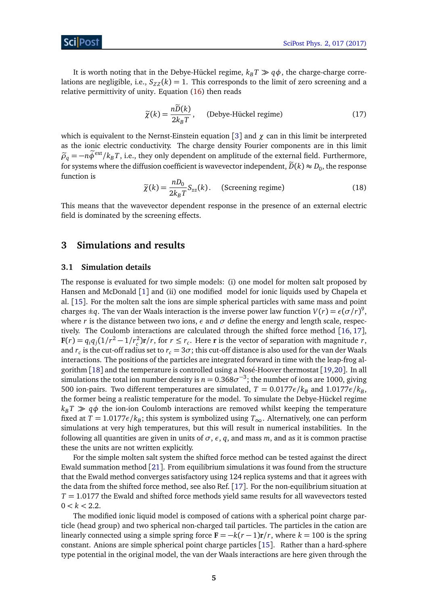It is worth noting that in the Debye-Hückel regime,  $k_B T \gg q\phi$ , the charge-charge correlations are negligible, i.e.,  $S_{ZZ}(k) = 1$ . This corresponds to the limit of zero screening and a relative permittivity of unity. Equation [\(16\)](#page-3-3) then reads

$$
\widetilde{\chi}(k) = \frac{n\widetilde{D}(k)}{2k_B T}, \qquad \text{(Debye-Hückel regime)}\tag{17}
$$

which is equivalent to the Nernst-Einstein equation [[3](#page-10-2)] and  $\chi$  can in this limit be interpreted as the ionic electric conductivity. The charge density Fourier components are in this limit  $\tilde{\rho}_q = -n\tilde{\phi}^{\text{ext}}/k_B T$ , i.e., they only dependent on amplitude of the external field. Furthermore, for systems where the diffusion coefficient is wavevector independent,  $\widetilde{D}(k) \approx D_0$ , the response function is

<span id="page-4-2"></span>
$$
\widetilde{\chi}(k) = \frac{nD_0}{2k_B T} S_{zz}(k). \quad \text{(Screening regime)} \tag{18}
$$

This means that the wavevector dependent response in the presence of an external electric field is dominated by the screening effects.

### <span id="page-4-0"></span>**3 Simulations and results**

#### <span id="page-4-1"></span>**3.1 Simulation details**

The response is evaluated for two simple models: (i) one model for molten salt proposed by Hansen and McDonald [[1](#page-10-0)] and (ii) one modified model for ionic liquids used by Chapela et al. [[15](#page-11-2)]. For the molten salt the ions are simple spherical particles with same mass and point charges  $\pm q$ . The van der Waals interaction is the inverse power law function  $V(r) = \epsilon (\sigma/r)^9$ , where  $r$  is the distance between two ions,  $\epsilon$  and  $\sigma$  define the energy and length scale, respectively. The Coulomb interactions are calculated through the shifted force method [[16,](#page-11-3) [17](#page-11-4)],  $\mathbf{F}(r) = q_i q_j (1/r^2 - 1/r_c^2) \mathbf{r}/r$ , for  $r \le r_c$ . Here **r** is the vector of separation with magnitude r, and  $r_c$  is the cut-off radius set to  $r_c = 3\sigma$ ; this cut-off distance is also used for the van der Waals interactions. The positions of the particles are integrated forward in time with the leap-frog algorithm [[18](#page-11-5)] and the temperature is controlled using a Nosé-Hoover thermostat [[19,](#page-11-6)[20](#page-11-7)]. In all simulations the total ion number density is  $n = 0.368\sigma^{-3}$ ; the number of ions are 1000, giving 500 ion-pairs. Two different temperatures are simulated,  $T = 0.0177\epsilon/k_{B}$  and  $1.0177\epsilon/k_{B}$ , the former being a realistic temperature for the model. To simulate the Debye-Hückel regime  $k_B T \gg q\phi$  the ion-ion Coulomb interactions are removed whilst keeping the temperature fixed at  $T = 1.0177\epsilon/k_{B}$ ; this system is symbolized using  $T_{\infty}$ . Alternatively, one can perform simulations at very high temperatures, but this will result in numerical instabilities. In the following all quantities are given in units of  $\sigma$ ,  $\epsilon$ ,  $q$ , and mass  $m$ , and as it is common practise these the units are not written explicitly.

For the simple molten salt system the shifted force method can be tested against the direct Ewald summation method [[21](#page-11-8)]. From equilibrium simulations it was found from the structure that the Ewald method converges satisfactory using 124 replica systems and that it agrees with the data from the shifted force method, see also Ref. [[17](#page-11-4)]. For the non-equilibrium situation at *T* = 1.0177 the Ewald and shifted force methods yield same results for all wavevectors tested  $0 < k < 2.2$ .

The modified ionic liquid model is composed of cations with a spherical point charge particle (head group) and two spherical non-charged tail particles. The particles in the cation are linearly connected using a simple spring force  $\mathbf{F} = -k(r-1)\mathbf{r}/r$ , where  $k = 100$  is the spring constant. Anions are simple spherical point charge particles [[15](#page-11-2)]. Rather than a hard-sphere type potential in the original model, the van der Waals interactions are here given through the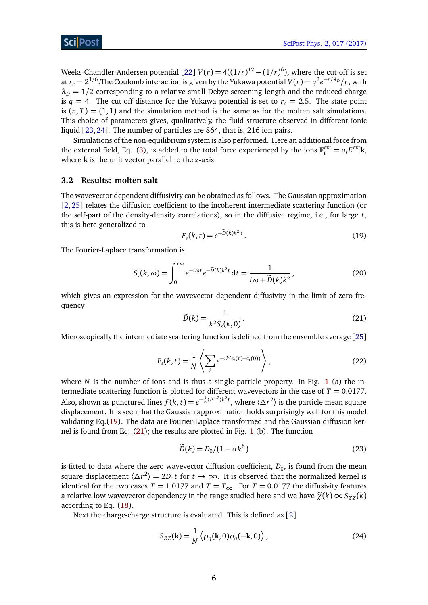Weeks-Chandler-Andersen potential [[22](#page-11-9)]  $V(r) = 4((1/r)^{12} - (1/r)^6)$ , where the cut-off is set at  $r_c = 2^{1/6}$ . The Coulomb interaction is given by the Yukawa potential  $V(r) = q^2 e^{-r/\lambda_D}/r$ , with  $\lambda_D = 1/2$  corresponding to a relative small Debye screening length and the reduced charge is  $q = 4$ . The cut-off distance for the Yukawa potential is set to  $r_c = 2.5$ . The state point is  $(n, T) = (1, 1)$  and the simulation method is the same as for the molten salt simulations. This choice of parameters gives, qualitatively, the fluid structure observed in different ionic liquid [[23,](#page-11-10)[24](#page-11-11)]. The number of particles are 864, that is, 216 ion pairs.

Simulations of the non-equilibrium system is also performed. Here an additional force from the external field, Eq. [\(3\)](#page-2-1), is added to the total force experienced by the ions  $\mathbf{F}_i^{\text{ext}} = q_i E^{\text{ext}} \mathbf{k}$ , where **k** is the unit vector parallel to the *z*-axis.

#### <span id="page-5-0"></span>**3.2 Results: molten salt**

The wavevector dependent diffusivity can be obtained as follows. The Gaussian approximation [[2,](#page-10-1) [25](#page-11-12)] relates the diffusion coefficient to the incoherent intermediate scattering function (or the self-part of the density-density correlations), so in the diffusive regime, i.e., for large *t*, this is here generalized to

<span id="page-5-1"></span>
$$
F_s(k, t) = e^{-\tilde{D}(k)k^2 t}.
$$
\n(19)

The Fourier-Laplace transformation is

$$
S_s(k,\omega) = \int_0^\infty e^{-i\omega t} e^{-\tilde{D}(k)k^2 t} dt = \frac{1}{i\omega + \tilde{D}(k)k^2},
$$
\n(20)

<span id="page-5-2"></span>which gives an expression for the wavevector dependent diffusivity in the limit of zero frequency

$$
\widetilde{D}(k) = \frac{1}{k^2 S_s(k, 0)}.
$$
\n(21)

Microscopically the intermediate scattering function is defined from the ensemble average [[25](#page-11-12)]

$$
F_s(k,t) = \frac{1}{N} \left\langle \sum_i e^{-ik(z_i(t) - z_i(0))} \right\rangle,
$$
\n(22)

where  $N$  is the number of ions and is thus a single particle property. In Fig. [1](#page-6-0) (a) the intermediate scattering function is plotted for different wavevectors in the case of  $T = 0.0177$ . Also, shown as punctured lines  $f(k,t)=e^{-\frac{1}{6}\langle\Delta r^2\rangle k^2t}$ , where  $\langle\Delta r^2\rangle$  is the particle mean square displacement. It is seen that the Gaussian approximation holds surprisingly well for this model validating Eq.[\(19\)](#page-5-1). The data are Fourier-Laplace transformed and the Gaussian diffusion kernel is found from Eq. [\(21\)](#page-5-2); the results are plotted in Fig. [1](#page-6-0) (b). The function

<span id="page-5-4"></span><span id="page-5-3"></span>
$$
\widetilde{D}(k) = D_0/(1 + \alpha k^{\beta})
$$
\n(23)

is fitted to data where the zero wavevector diffusion coefficient,  $D_0$ , is found from the mean square displacement  $\langle \Delta r^2 \rangle = 2D_0 t$  for  $t \to \infty$ . It is observed that the normalized kernel is identical for the two cases  $T = 1.0177$  and  $T = T_{\infty}$ . For  $T = 0.0177$  the diffusivity features a relative low wavevector dependency in the range studied here and we have  $\tilde{\chi}(k) \propto S_{ZZ}(k)$ according to Eq. [\(18\)](#page-4-2).

Next the charge-charge structure is evaluated. This is defined as [[2](#page-10-1)]

$$
S_{ZZ}(\mathbf{k}) = \frac{1}{N} \left\langle \rho_q(\mathbf{k}, 0) \rho_q(-\mathbf{k}, 0) \right\rangle, \tag{24}
$$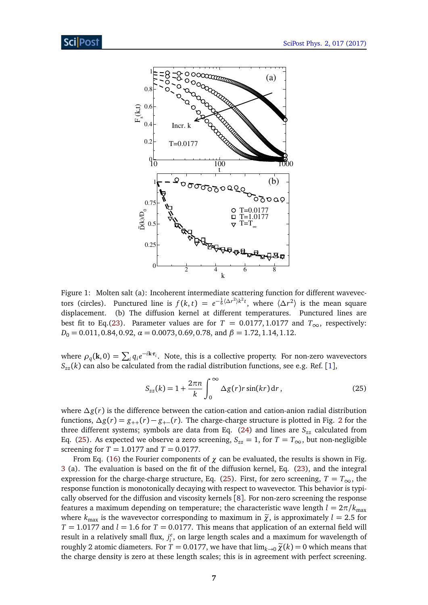

<span id="page-6-0"></span>Figure 1: Molten salt (a): Incoherent intermediate scattering function for different wavevectors (circles). Punctured line is  $f(k,t) = e^{-\frac{1}{6}(\Delta r^2)k^2t}$ , where  $\langle \Delta r^2 \rangle$  is the mean square displacement. (b) The diffusion kernel at different temperatures. Punctured lines are best fit to Eq.[\(23\)](#page-5-3). Parameter values are for  $T = 0.0177, 1.0177$  and  $T_{\infty}$ , respectively: *D*<sup>0</sup> = 0.011, 0.84, 0.92, *α* = 0.0073, 0.69, 0.78, and *β* = 1.72, 1.14, 1.12.

where  $\rho_q(\mathbf{k},0) = \sum_i q_i e^{-i\mathbf{k} \cdot \mathbf{r}_i}$ . Note, this is a collective property. For non-zero wavevectors  $S_{zz}$  (*k*) can also be calculated from the radial distribution functions, see e.g. Ref. [[1](#page-10-0)],

<span id="page-6-1"></span>
$$
S_{zz}(k) = 1 + \frac{2\pi n}{k} \int_0^\infty \Delta g(r) r \sin(kr) dr, \qquad (25)
$$

where *∆g*(*r*) is the difference between the cation-cation and cation-anion radial distribution functions,  $\Delta g(r) = g_{++}(r) - g_{+-}(r)$ . The charge-charge structure is plotted in Fig. [2](#page-7-0) for the three different systems; symbols are data from Eq. [\(24\)](#page-5-4) and lines are *Szz* calculated from Eq. [\(25\)](#page-6-1). As expected we observe a zero screening,  $S_{zz} = 1$ , for  $T = T_{\infty}$ , but non-negligible screening for *T* = 1.0177 and *T* = 0.0177.

From Eq. [\(16\)](#page-3-3) the Fourier components of  $\chi$  can be evaluated, the results is shown in Fig. [3](#page-7-1) (a). The evaluation is based on the fit of the diffusion kernel, Eq. [\(23\)](#page-5-3), and the integral expression for the charge-charge structure, Eq. [\(25\)](#page-6-1). First, for zero screening,  $T = T_{\infty}$ , the response function is monotonically decaying with respect to wavevector. This behavior is typically observed for the diffusion and viscosity kernels [[8](#page-10-7)]. For non-zero screening the response features a maximum depending on temperature; the characteristic wave length  $l = 2\pi/k_{\text{max}}$ where  $k_{\text{max}}$  is the wavevector corresponding to maximum in  $\tilde{\chi}$ , is approximately  $l = 2.5$  for  $T = 1.0177$  and  $l = 1.6$  for  $T = 0.0177$ . This means that application of an external field will result in a relatively small flux,  $j_i^e$ , on large length scales and a maximum for wavelength of roughly 2 atomic diameters. For  $T = 0.0177$ , we have that  $\lim_{k\to 0} \tilde{\chi}(k) = 0$  which means that the charge density is zero at these length scales; this is in agreement with perfect screening.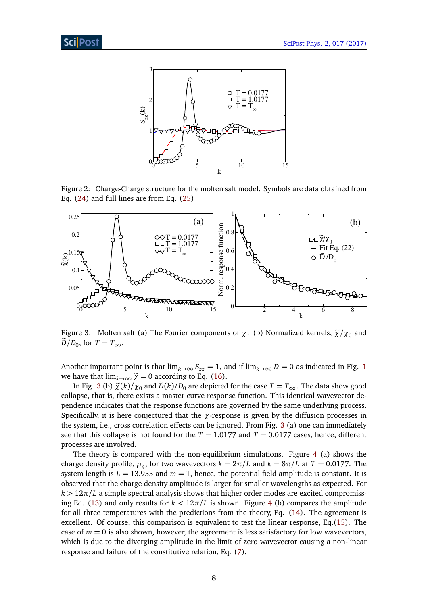

<span id="page-7-0"></span>Figure 2: Charge-Charge structure for the molten salt model. Symbols are data obtained from Eq. [\(24\)](#page-5-4) and full lines are from Eq. [\(25\)](#page-6-1)



<span id="page-7-1"></span>Figure 3: Molten salt (a) The Fourier components of  $\chi$ . (b) Normalized kernels,  $\tilde{\chi}/\chi_0$  and  $D/D_0$ , for  $T = T_{\infty}$ .

Another important point is that  $\lim_{k\to\infty} S_{zz} = 1$  $\lim_{k\to\infty} S_{zz} = 1$ , and if  $\lim_{k\to\infty} D = 0$  as indicated in Fig. 1 we have that  $\lim_{k\to\infty} \tilde{\chi} = 0$  according to Eq. [\(16\)](#page-3-3).

In Fig. [3](#page-7-1) (b)  $\tilde{\chi}(k)/\chi_0$  and  $\tilde{D}(k)/D_0$  are depicted for the case  $T = T_{\infty}$ . The data show good collapse, that is, there exists a master curve response function. This identical wavevector dependence indicates that the response functions are governed by the same underlying process. Specifically, it is here conjectured that the  $\chi$ -response is given by the diffusion processes in the system, i.e., cross correlation effects can be ignored. From Fig. [3](#page-7-1) (a) one can immediately see that this collapse is not found for the  $T = 1.0177$  and  $T = 0.0177$  cases, hence, different processes are involved.

The theory is compared with the non-equilibrium simulations. Figure [4](#page-8-2) (a) shows the charge density profile,  $\rho_q$ , for two wavevectors  $k = 2\pi/L$  and  $k = 8\pi/L$  at  $T = 0.0177$ . The system length is  $L = 13.955$  and  $m = 1$ , hence, the potential field amplitude is constant. It is observed that the charge density amplitude is larger for smaller wavelengths as expected. For  $k > 12\pi/L$  a simple spectral analysis shows that higher order modes are excited compromiss-ing Eq. [\(13\)](#page-3-1) and only results for  $k < 12\pi/L$  is shown. Figure [4](#page-8-2) (b) compares the amplitude for all three temperatures with the predictions from the theory, Eq. [\(14\)](#page-3-4). The agreement is excellent. Of course, this comparison is equivalent to test the linear response, Eq.[\(15\)](#page-3-5). The case of  $m = 0$  is also shown, however, the agreement is less satisfactory for low wavevectors, which is due to the diverging amplitude in the limit of zero wavevector causing a non-linear response and failure of the constitutive relation, Eq. [\(7\)](#page-2-0).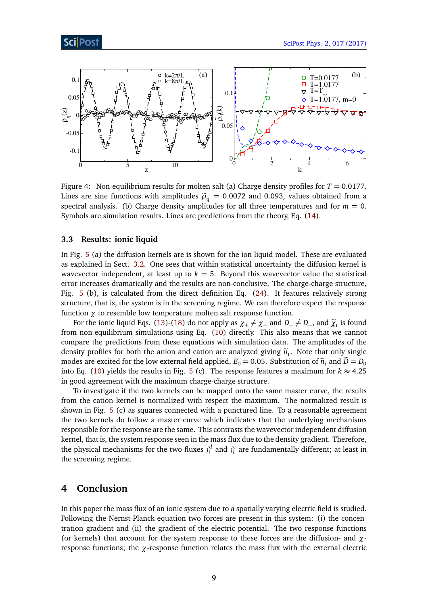



<span id="page-8-2"></span>Figure 4: Non-equilibrium results for molten salt (a) Charge density profiles for  $T = 0.0177$ . Lines are sine functions with amplitudes  $\tilde{\rho}_q = 0.0072$  and 0.093, values obtained from a spectral analysis. (b) Charge density amplitudes for all three temperatures and for  $m = 0$ . Symbols are simulation results. Lines are predictions from the theory, Eq. [\(14\)](#page-3-4).

#### <span id="page-8-0"></span>**3.3 Results: ionic liquid**

In Fig. [5](#page-9-0) (a) the diffusion kernels are is shown for the ion liquid model. These are evaluated as explained in Sect. [3.2.](#page-5-0) One sees that within statistical uncertainty the diffusion kernel is wavevector independent, at least up to  $k = 5$ . Beyond this wavevector value the statistical error increases dramatically and the results are non-conclusive. The charge-charge structure, Fig. [5](#page-9-0) (b), is calculated from the direct definition Eq. [\(24\)](#page-5-4). It features relatively strong structure, that is, the system is in the screening regime. We can therefore expect the response function *χ* to resemble low temperature molten salt response function.

For the ionic liquid Eqs. [\(13\)](#page-3-1)-[\(18\)](#page-4-2) do not apply as  $\chi_+ \neq \chi_-$  and  $D_+ \neq D_-$ , and  $\tilde{\chi}_i$  is found from non-equilibrium simulations using Eq. [\(10\)](#page-3-0) directly. This also means that we cannot compare the predictions from these equations with simulation data. The amplitudes of the density profiles for both the anion and cation are analyzed giving  $\tilde{n}_i$ . Note that only single<br>modes are spaited for the law sytemal field analized  $F_a = 0.05$ . Substitution of  $\tilde{n}_i$  and  $\tilde{p}_i = p_i$ . modes are excited for the low external field applied,  $E_0 = 0.05$ . Substitution of  $\tilde{n}_i$  and  $\tilde{D} = D_0$ into Eq. [\(10\)](#page-3-0) yields the results in Fig. [5](#page-9-0) (c). The response features a maximum for  $k \approx 4.25$ in good agreement with the maximum charge-charge structure.

To investigate if the two kernels can be mapped onto the same master curve, the results from the cation kernel is normalized with respect the maximum. The normalized result is shown in Fig. [5](#page-9-0) (c) as squares connected with a punctured line. To a reasonable agreement the two kernels do follow a master curve which indicates that the underlying mechanisms responsible for the response are the same. This contrasts the wavevector independent diffusion kernel, that is, the system response seen in the mass flux due to the density gradient. Therefore, the physical mechanisms for the two fluxes  $j_i^d$  and  $j_i^e$  are fundamentally different; at least in the screening regime.

### <span id="page-8-1"></span>**4 Conclusion**

In this paper the mass flux of an ionic system due to a spatially varying electric field is studied. Following the Nernst-Planck equation two forces are present in this system: (i) the concentration gradient and (ii) the gradient of the electric potential. The two response functions (or kernels) that account for the system response to these forces are the diffusion- and *χ*response functions; the *χ*-response function relates the mass flux with the external electric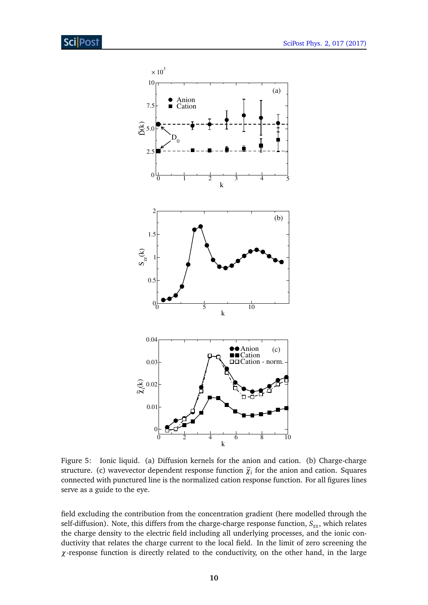

<span id="page-9-0"></span>Figure 5: Ionic liquid. (a) Diffusion kernels for the anion and cation. (b) Charge-charge structure. (c) wavevector dependent response function  $\tilde{\chi}_i$  for the anion and cation. Squares connected with punctured line is the normalized cation response function. For all figures lines serve as a guide to the eye.

field excluding the contribution from the concentration gradient (here modelled through the self-diffusion). Note, this differs from the charge-charge response function,  $S_{zz}$ , which relates the charge density to the electric field including all underlying processes, and the ionic conductivity that relates the charge current to the local field. In the limit of zero screening the *χ*-response function is directly related to the conductivity, on the other hand, in the large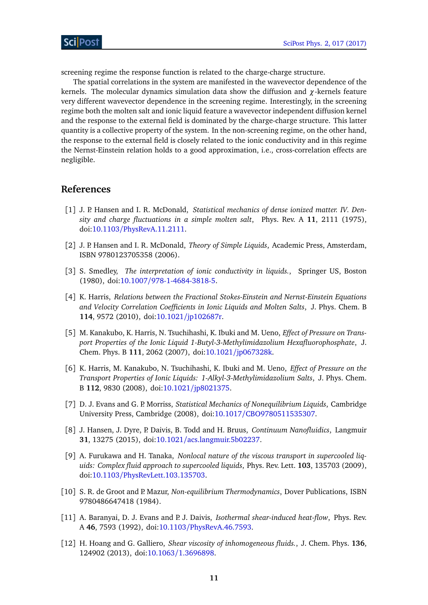screening regime the response function is related to the charge-charge structure.

The spatial correlations in the system are manifested in the wavevector dependence of the kernels. The molecular dynamics simulation data show the diffusion and *χ*-kernels feature very different wavevector dependence in the screening regime. Interestingly, in the screening regime both the molten salt and ionic liquid feature a wavevector independent diffusion kernel and the response to the external field is dominated by the charge-charge structure. This latter quantity is a collective property of the system. In the non-screening regime, on the other hand, the response to the external field is closely related to the ionic conductivity and in this regime the Nernst-Einstein relation holds to a good approximation, i.e., cross-correlation effects are negligible.

#### **References**

- <span id="page-10-0"></span>[1] J. P. Hansen and I. R. McDonald, *Statistical mechanics of dense ionized matter. IV. Density and charge fluctuations in a simple molten salt*, Phys. Rev. A **11**, 2111 (1975), doi:10.1103/[PhysRevA.11.2111.](http://dx.doi.org/10.1103/PhysRevA.11.2111)
- <span id="page-10-1"></span>[2] J. P. Hansen and I. R. McDonald, *Theory of Simple Liquids*, Academic Press, Amsterdam, ISBN 9780123705358 (2006).
- <span id="page-10-2"></span>[3] S. Smedley, *The interpretation of ionic conductivity in liquids.*, Springer US, Boston (1980), doi:10.1007/[978-1-4684-3818-5.](http://dx.doi.org/10.1007/978-1-4684-3818-5)
- <span id="page-10-3"></span>[4] K. Harris, *Relations between the Fractional Stokes-Einstein and Nernst-Einstein Equations and Velocity Correlation Coefficients in Ionic Liquids and Molten Salts*, J. Phys. Chem. B **114**, 9572 (2010), doi:10.1021/[jp102687r.](http://dx.doi.org/10.1021/jp102687r)
- <span id="page-10-4"></span>[5] M. Kanakubo, K. Harris, N. Tsuchihashi, K. Ibuki and M. Ueno, *Effect of Pressure on Transport Properties of the Ionic Liquid 1-Butyl-3-Methylimidazolium Hexafluorophosphate*, J. Chem. Phys. B **111**, 2062 (2007), doi:10.1021/[jp067328k.](http://dx.doi.org/10.1021/jp067328k)
- <span id="page-10-5"></span>[6] K. Harris, M. Kanakubo, N. Tsuchihashi, K. Ibuki and M. Ueno, *Effect of Pressure on the Transport Properties of Ionic Liquids: 1-Alkyl-3-Methylimidazolium Salts*, J. Phys. Chem. B **112**, 9830 (2008), doi:10.1021/[jp8021375.](http://dx.doi.org/10.1021/jp8021375)
- <span id="page-10-6"></span>[7] D. J. Evans and G. P. Morriss, *Statistical Mechanics of Nonequilibrium Liquids*, Cambridge University Press, Cambridge (2008), doi:10.1017/[CBO9780511535307.](http://dx.doi.org/10.1017/CBO9780511535307)
- <span id="page-10-7"></span>[8] J. Hansen, J. Dyre, P. Daivis, B. Todd and H. Bruus, *Continuum Nanofluidics*, Langmuir **31**, 13275 (2015), doi:10.1021/[acs.langmuir.5b02237.](http://dx.doi.org/10.1021/acs.langmuir.5b02237)
- <span id="page-10-8"></span>[9] A. Furukawa and H. Tanaka, *Nonlocal nature of the viscous transport in supercooled liquids: Complex fluid approach to supercooled liquids*, Phys. Rev. Lett. **103**, 135703 (2009), doi:10.1103/[PhysRevLett.103.135703.](http://dx.doi.org/10.1103/PhysRevLett.103.135703)
- <span id="page-10-9"></span>[10] S. R. de Groot and P. Mazur, *Non-equilibrium Thermodynamics*, Dover Publications, ISBN 9780486647418 (1984).
- <span id="page-10-10"></span>[11] A. Baranyai, D. J. Evans and P. J. Daivis, *Isothermal shear-induced heat-flow*, Phys. Rev. A **46**, 7593 (1992), doi:10.1103/[PhysRevA.46.7593.](http://dx.doi.org/10.1103/PhysRevA.46.7593)
- [12] H. Hoang and G. Galliero, *Shear viscosity of inhomogeneous fluids.*, J. Chem. Phys. **136**, 124902 (2013), doi:10.1063/[1.3696898.](http://dx.doi.org/10.1063/1.3696898)